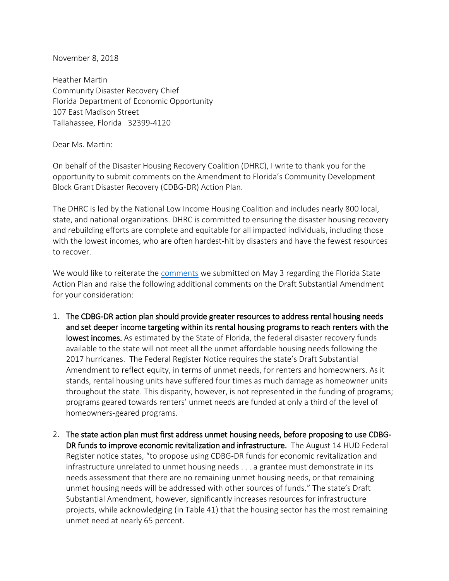November 8, 2018

Heather Martin Community Disaster Recovery Chief Florida Department of Economic Opportunity 107 East Madison Street Tallahassee, Florida 32399-4120

Dear Ms. Martin:

On behalf of the Disaster Housing Recovery Coalition (DHRC), I write to thank you for the opportunity to submit comments on the Amendment to Florida's Community Development Block Grant Disaster Recovery (CDBG-DR) Action Plan.

The DHRC is led by the National Low Income Housing Coalition and includes nearly 800 local, state, and national organizations. DHRC is committed to ensuring the disaster housing recovery and rebuilding efforts are complete and equitable for all impacted individuals, including those with the lowest incomes, who are often hardest-hit by disasters and have the fewest resources to recover.

We would like to reiterate the [comments](https://static1.squarespace.com/static/54179ca4e4b0b0c7bc710d3d/t/5af09769aa4a99b51daabaae/1525716841586/DHRC+Comments_Florida+Action+Plan+final+corrected.pdf) we submitted on May 3 regarding the Florida State Action Plan and raise the following additional comments on the Draft Substantial Amendment for your consideration:

- 1. The CDBG-DR action plan should provide greater resources to address rental housing needs and set deeper income targeting within its rental housing programs to reach renters with the lowest incomes. As estimated by the State of Florida, the federal disaster recovery funds available to the state will not meet all the unmet affordable housing needs following the 2017 hurricanes. The Federal Register Notice requires the state's Draft Substantial Amendment to reflect equity, in terms of unmet needs, for renters and homeowners. As it stands, rental housing units have suffered four times as much damage as homeowner units throughout the state. This disparity, however, is not represented in the funding of programs; programs geared towards renters' unmet needs are funded at only a third of the level of homeowners-geared programs.
- 2. The state action plan must first address unmet housing needs, before proposing to use CDBG-DR funds to improve economic revitalization and infrastructure. The August 14 HUD Federal Register notice states, "to propose using CDBG-DR funds for economic revitalization and infrastructure unrelated to unmet housing needs . . . a grantee must demonstrate in its needs assessment that there are no remaining unmet housing needs, or that remaining unmet housing needs will be addressed with other sources of funds." The state's Draft Substantial Amendment, however, significantly increases resources for infrastructure projects, while acknowledging (in Table 41) that the housing sector has the most remaining unmet need at nearly 65 percent.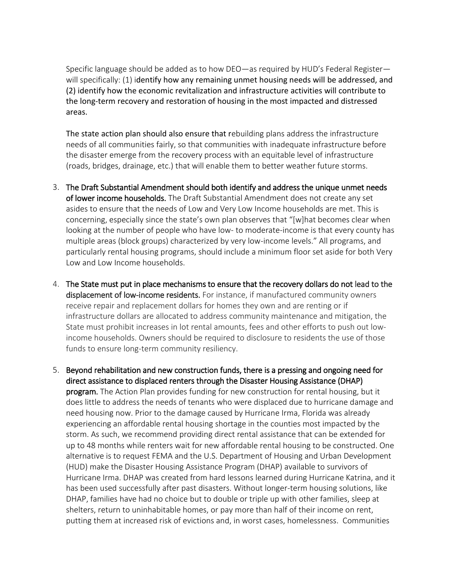Specific language should be added as to how DEO—as required by HUD's Federal Register will specifically: (1) identify how any remaining unmet housing needs will be addressed, and (2) identify how the economic revitalization and infrastructure activities will contribute to the long-term recovery and restoration of housing in the most impacted and distressed areas.

The state action plan should also ensure that rebuilding plans address the infrastructure needs of all communities fairly, so that communities with inadequate infrastructure before the disaster emerge from the recovery process with an equitable level of infrastructure (roads, bridges, drainage, etc.) that will enable them to better weather future storms.

- 3. The Draft Substantial Amendment should both identify and address the unique unmet needs of lower income households. The Draft Substantial Amendment does not create any set asides to ensure that the needs of Low and Very Low Income households are met. This is concerning, especially since the state's own plan observes that "[w]hat becomes clear when looking at the number of people who have low- to moderate-income is that every county has multiple areas (block groups) characterized by very low-income levels." All programs, and particularly rental housing programs, should include a minimum floor set aside for both Very Low and Low Income households.
- 4. The State must put in place mechanisms to ensure that the recovery dollars do not lead to the displacement of low-income residents. For instance, if manufactured community owners receive repair and replacement dollars for homes they own and are renting or if infrastructure dollars are allocated to address community maintenance and mitigation, the State must prohibit increases in lot rental amounts, fees and other efforts to push out lowincome households. Owners should be required to disclosure to residents the use of those funds to ensure long-term community resiliency.
- 5. Beyond rehabilitation and new construction funds, there is a pressing and ongoing need for direct assistance to displaced renters through the Disaster Housing Assistance (DHAP) program. The Action Plan provides funding for new construction for rental housing, but it does little to address the needs of tenants who were displaced due to hurricane damage and need housing now. Prior to the damage caused by Hurricane Irma, Florida was already experiencing an affordable rental housing shortage in the counties most impacted by the storm. As such, we recommend providing direct rental assistance that can be extended for up to 48 months while renters wait for new affordable rental housing to be constructed. One alternative is to request FEMA and the U.S. Department of Housing and Urban Development (HUD) make the Disaster Housing Assistance Program (DHAP) available to survivors of Hurricane Irma. DHAP was created from hard lessons learned during Hurricane Katrina, and it has been used successfully after past disasters. Without longer-term housing solutions, like DHAP, families have had no choice but to double or triple up with other families, sleep at shelters, return to uninhabitable homes, or pay more than half of their income on rent, putting them at increased risk of evictions and, in worst cases, homelessness. Communities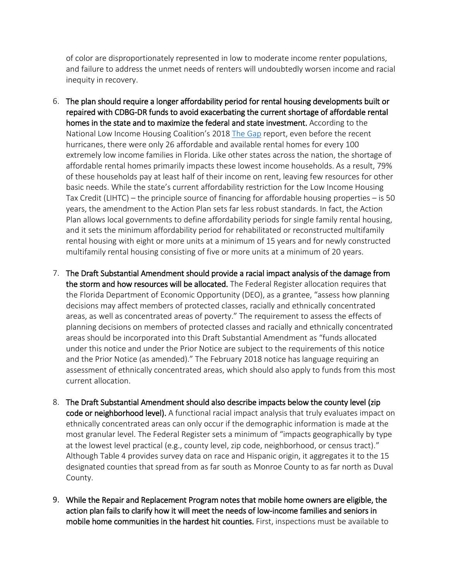of color are disproportionately represented in low to moderate income renter populations, and failure to address the unmet needs of renters will undoubtedly worsen income and racial inequity in recovery.

- 6. The plan should require a longer affordability period for rental housing developments built or repaired with CDBG-DR funds to avoid exacerbating the current shortage of affordable rental homes in the state and to maximize the federal and state investment. According to the National Low Income Housing Coalition's 2018 [The Gap](https://nlihc.org/gap) report, even before the recent hurricanes, there were only 26 affordable and available rental homes for every 100 extremely low income families in Florida. Like other states across the nation, the shortage of affordable rental homes primarily impacts these lowest income households. As a result, 79% of these households pay at least half of their income on rent, leaving few resources for other basic needs. While the state's current affordability restriction for the Low Income Housing Tax Credit (LIHTC) – the principle source of financing for affordable housing properties – is 50 years, the amendment to the Action Plan sets far less robust standards. In fact, the Action Plan allows local governments to define affordability periods for single family rental housing, and it sets the minimum affordability period for rehabilitated or reconstructed multifamily rental housing with eight or more units at a minimum of 15 years and for newly constructed multifamily rental housing consisting of five or more units at a minimum of 20 years.
- 7. The Draft Substantial Amendment should provide a racial impact analysis of the damage from the storm and how resources will be allocated. The Federal Register allocation requires that the Florida Department of Economic Opportunity (DEO), as a grantee, "assess how planning decisions may affect members of protected classes, racially and ethnically concentrated areas, as well as concentrated areas of poverty." The requirement to assess the effects of planning decisions on members of protected classes and racially and ethnically concentrated areas should be incorporated into this Draft Substantial Amendment as "funds allocated under this notice and under the Prior Notice are subject to the requirements of this notice and the Prior Notice (as amended)." The February 2018 notice has language requiring an assessment of ethnically concentrated areas, which should also apply to funds from this most current allocation.
- 8. The Draft Substantial Amendment should also describe impacts below the county level (zip code or neighborhood level). A functional racial impact analysis that truly evaluates impact on ethnically concentrated areas can only occur if the demographic information is made at the most granular level. The Federal Register sets a minimum of "impacts geographically by type at the lowest level practical (e.g., county level, zip code, neighborhood, or census tract)." Although Table 4 provides survey data on race and Hispanic origin, it aggregates it to the 15 designated counties that spread from as far south as Monroe County to as far north as Duval County.
- 9. While the Repair and Replacement Program notes that mobile home owners are eligible, the action plan fails to clarify how it will meet the needs of low-income families and seniors in mobile home communities in the hardest hit counties. First, inspections must be available to